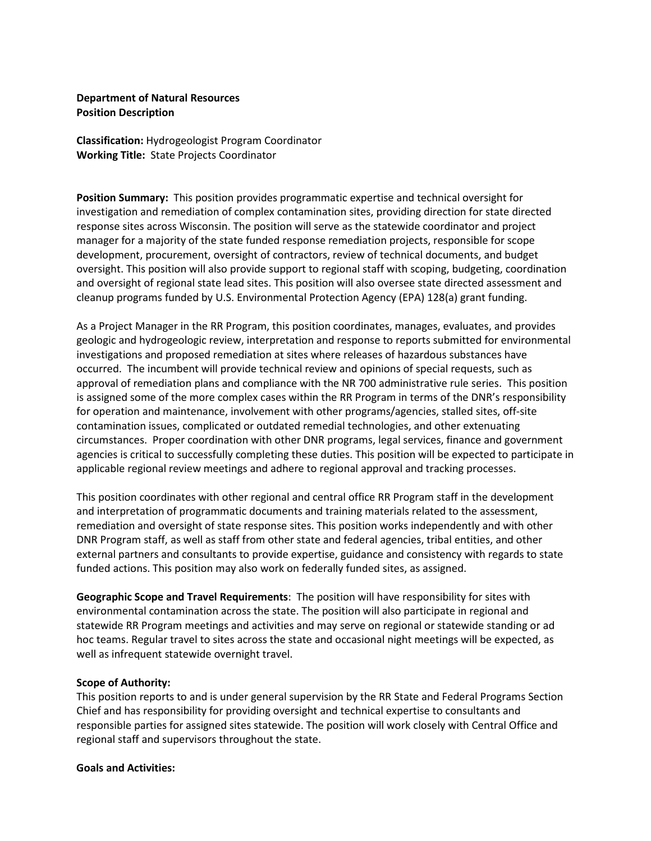### **Department of Natural Resources Position Description**

**Classification:** Hydrogeologist Program Coordinator **Working Title:** State Projects Coordinator

**Position Summary:** This position provides programmatic expertise and technical oversight for investigation and remediation of complex contamination sites, providing direction for state directed response sites across Wisconsin. The position will serve as the statewide coordinator and project manager for a majority of the state funded response remediation projects, responsible for scope development, procurement, oversight of contractors, review of technical documents, and budget oversight. This position will also provide support to regional staff with scoping, budgeting, coordination and oversight of regional state lead sites. This position will also oversee state directed assessment and cleanup programs funded by U.S. Environmental Protection Agency (EPA) 128(a) grant funding.

As a Project Manager in the RR Program, this position coordinates, manages, evaluates, and provides geologic and hydrogeologic review, interpretation and response to reports submitted for environmental investigations and proposed remediation at sites where releases of hazardous substances have occurred. The incumbent will provide technical review and opinions of special requests, such as approval of remediation plans and compliance with the NR 700 administrative rule series. This position is assigned some of the more complex cases within the RR Program in terms of the DNR's responsibility for operation and maintenance, involvement with other programs/agencies, stalled sites, off-site contamination issues, complicated or outdated remedial technologies, and other extenuating circumstances. Proper coordination with other DNR programs, legal services, finance and government agencies is critical to successfully completing these duties. This position will be expected to participate in applicable regional review meetings and adhere to regional approval and tracking processes.

This position coordinates with other regional and central office RR Program staff in the development and interpretation of programmatic documents and training materials related to the assessment, remediation and oversight of state response sites. This position works independently and with other DNR Program staff, as well as staff from other state and federal agencies, tribal entities, and other external partners and consultants to provide expertise, guidance and consistency with regards to state funded actions. This position may also work on federally funded sites, as assigned.

**Geographic Scope and Travel Requirements**: The position will have responsibility for sites with environmental contamination across the state. The position will also participate in regional and statewide RR Program meetings and activities and may serve on regional or statewide standing or ad hoc teams. Regular travel to sites across the state and occasional night meetings will be expected, as well as infrequent statewide overnight travel.

#### **Scope of Authority:**

This position reports to and is under general supervision by the RR State and Federal Programs Section Chief and has responsibility for providing oversight and technical expertise to consultants and responsible parties for assigned sites statewide. The position will work closely with Central Office and regional staff and supervisors throughout the state.

#### **Goals and Activities:**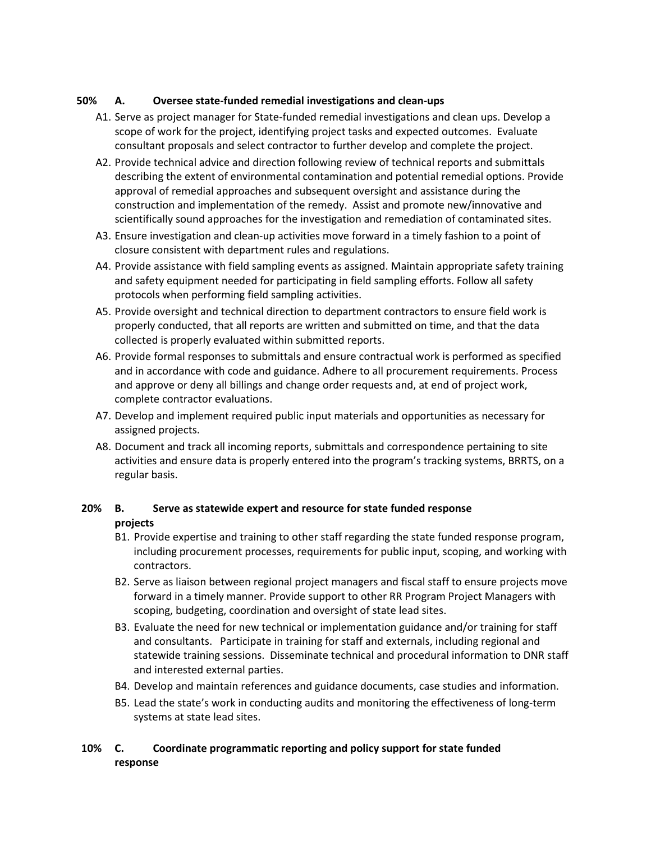## **50% A. Oversee state-funded remedial investigations and clean-ups**

- A1. Serve as project manager for State-funded remedial investigations and clean ups. Develop a scope of work for the project, identifying project tasks and expected outcomes. Evaluate consultant proposals and select contractor to further develop and complete the project.
- A2. Provide technical advice and direction following review of technical reports and submittals describing the extent of environmental contamination and potential remedial options. Provide approval of remedial approaches and subsequent oversight and assistance during the construction and implementation of the remedy. Assist and promote new/innovative and scientifically sound approaches for the investigation and remediation of contaminated sites.
- A3. Ensure investigation and clean-up activities move forward in a timely fashion to a point of closure consistent with department rules and regulations.
- A4. Provide assistance with field sampling events as assigned. Maintain appropriate safety training and safety equipment needed for participating in field sampling efforts. Follow all safety protocols when performing field sampling activities.
- A5. Provide oversight and technical direction to department contractors to ensure field work is properly conducted, that all reports are written and submitted on time, and that the data collected is properly evaluated within submitted reports.
- A6. Provide formal responses to submittals and ensure contractual work is performed as specified and in accordance with code and guidance. Adhere to all procurement requirements. Process and approve or deny all billings and change order requests and, at end of project work, complete contractor evaluations.
- A7. Develop and implement required public input materials and opportunities as necessary for assigned projects.
- A8. Document and track all incoming reports, submittals and correspondence pertaining to site activities and ensure data is properly entered into the program's tracking systems, BRRTS, on a regular basis.

# **20% B. Serve as statewide expert and resource for state funded response projects**

- B1. Provide expertise and training to other staff regarding the state funded response program, including procurement processes, requirements for public input, scoping, and working with contractors.
- B2. Serve as liaison between regional project managers and fiscal staff to ensure projects move forward in a timely manner. Provide support to other RR Program Project Managers with scoping, budgeting, coordination and oversight of state lead sites.
- B3. Evaluate the need for new technical or implementation guidance and/or training for staff and consultants. Participate in training for staff and externals, including regional and statewide training sessions. Disseminate technical and procedural information to DNR staff and interested external parties.
- B4. Develop and maintain references and guidance documents, case studies and information.
- B5. Lead the state's work in conducting audits and monitoring the effectiveness of long-term systems at state lead sites.

# **10% C. Coordinate programmatic reporting and policy support for state funded response**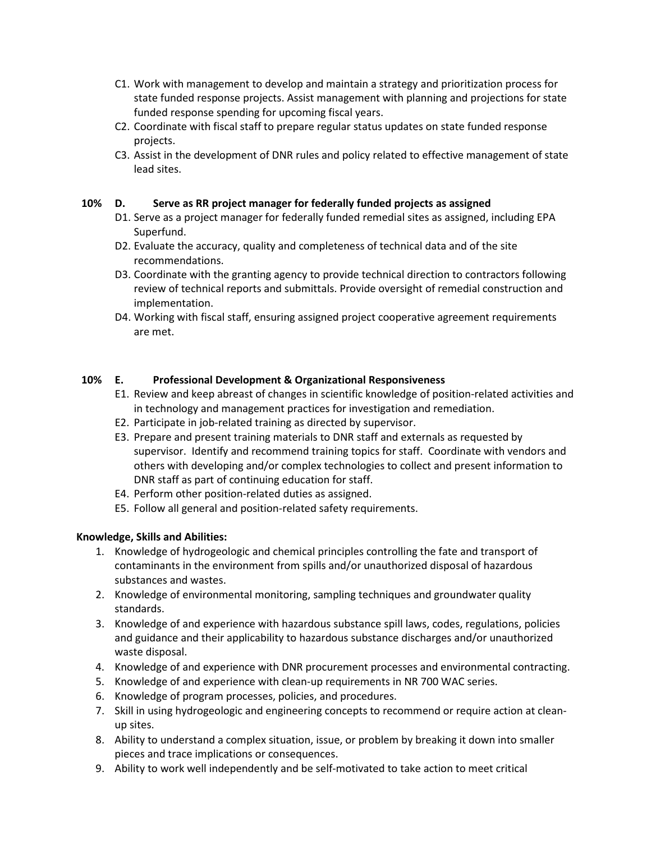- C1. Work with management to develop and maintain a strategy and prioritization process for state funded response projects. Assist management with planning and projections for state funded response spending for upcoming fiscal years.
- C2. Coordinate with fiscal staff to prepare regular status updates on state funded response projects.
- C3. Assist in the development of DNR rules and policy related to effective management of state lead sites.

## **10% D. Serve as RR project manager for federally funded projects as assigned**

- D1. Serve as a project manager for federally funded remedial sites as assigned, including EPA Superfund.
- D2. Evaluate the accuracy, quality and completeness of technical data and of the site recommendations.
- D3. Coordinate with the granting agency to provide technical direction to contractors following review of technical reports and submittals. Provide oversight of remedial construction and implementation.
- D4. Working with fiscal staff, ensuring assigned project cooperative agreement requirements are met.

## **10% E. Professional Development & Organizational Responsiveness**

- E1. Review and keep abreast of changes in scientific knowledge of position-related activities and in technology and management practices for investigation and remediation.
- E2. Participate in job-related training as directed by supervisor.
- E3. Prepare and present training materials to DNR staff and externals as requested by supervisor. Identify and recommend training topics for staff. Coordinate with vendors and others with developing and/or complex technologies to collect and present information to DNR staff as part of continuing education for staff.
- E4. Perform other position-related duties as assigned.
- E5. Follow all general and position-related safety requirements.

### **Knowledge, Skills and Abilities:**

- 1. Knowledge of hydrogeologic and chemical principles controlling the fate and transport of contaminants in the environment from spills and/or unauthorized disposal of hazardous substances and wastes.
- 2. Knowledge of environmental monitoring, sampling techniques and groundwater quality standards.
- 3. Knowledge of and experience with hazardous substance spill laws, codes, regulations, policies and guidance and their applicability to hazardous substance discharges and/or unauthorized waste disposal.
- 4. Knowledge of and experience with DNR procurement processes and environmental contracting.
- 5. Knowledge of and experience with clean-up requirements in NR 700 WAC series.
- 6. Knowledge of program processes, policies, and procedures.
- 7. Skill in using hydrogeologic and engineering concepts to recommend or require action at cleanup sites.
- 8. Ability to understand a complex situation, issue, or problem by breaking it down into smaller pieces and trace implications or consequences.
- 9. Ability to work well independently and be self-motivated to take action to meet critical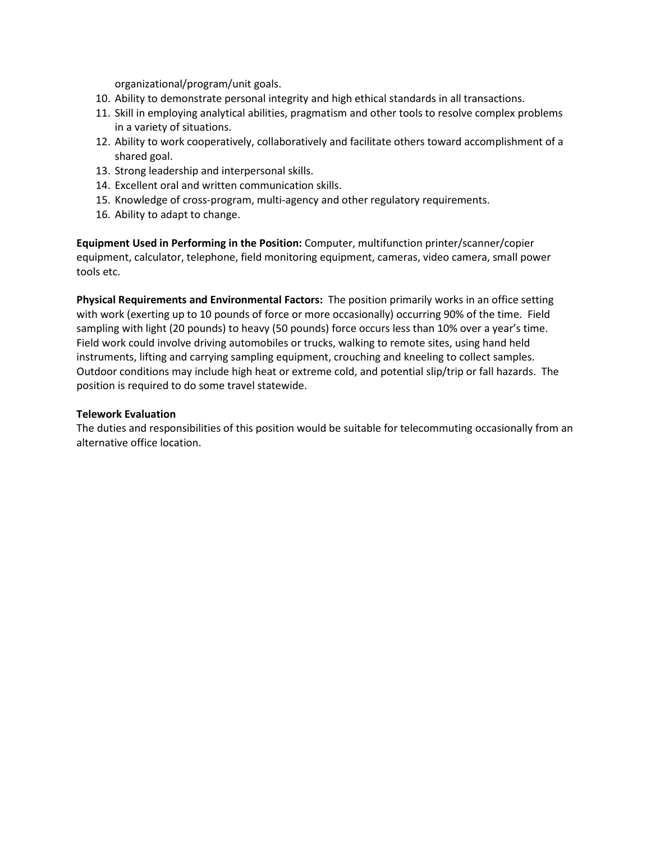organizational/program/unit goals.

- 10. Ability to demonstrate personal integrity and high ethical standards in all transactions.
- 11. Skill in employing analytical abilities, pragmatism and other tools to resolve complex problems in a variety of situations.
- 12. Ability to work cooperatively, collaboratively and facilitate others toward accomplishment of a shared goal.
- 13. Strong leadership and interpersonal skills.
- 14. Excellent oral and written communication skills.
- 15. Knowledge of cross-program, multi-agency and other regulatory requirements.
- 16. Ability to adapt to change.

**Equipment Used in Performing in the Position:** Computer, multifunction printer/scanner/copier equipment, calculator, telephone, field monitoring equipment, cameras, video camera, small power tools etc.

**Physical Requirements and Environmental Factors:** The position primarily works in an office setting with work (exerting up to 10 pounds of force or more occasionally) occurring 90% of the time. Field sampling with light (20 pounds) to heavy (50 pounds) force occurs less than 10% over a year's time. Field work could involve driving automobiles or trucks, walking to remote sites, using hand held instruments, lifting and carrying sampling equipment, crouching and kneeling to collect samples. Outdoor conditions may include high heat or extreme cold, and potential slip/trip or fall hazards. The position is required to do some travel statewide.

### **Telework Evaluation**

The duties and responsibilities of this position would be suitable for telecommuting occasionally from an alternative office location.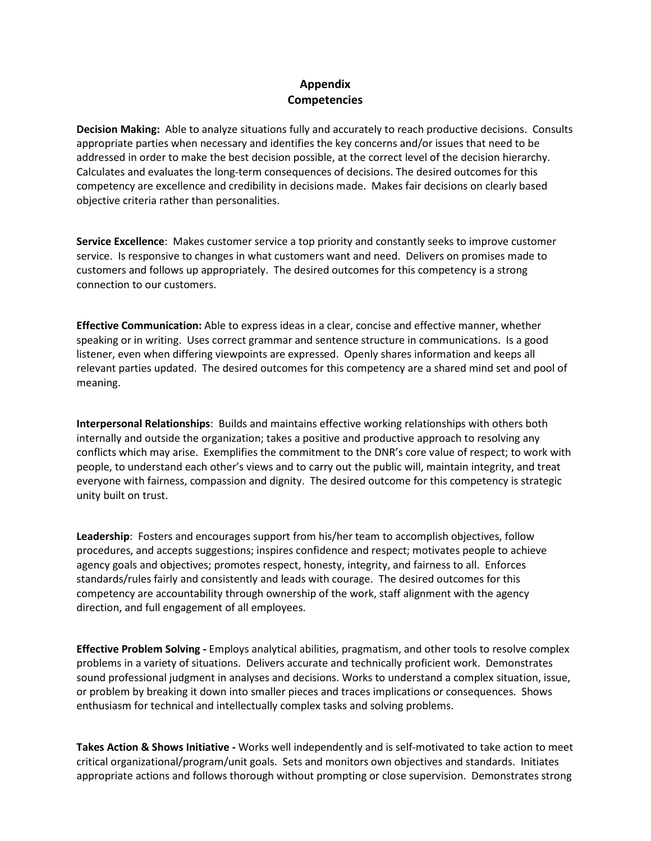# **Appendix Competencies**

**Decision Making:** Able to analyze situations fully and accurately to reach productive decisions. Consults appropriate parties when necessary and identifies the key concerns and/or issues that need to be addressed in order to make the best decision possible, at the correct level of the decision hierarchy. Calculates and evaluates the long-term consequences of decisions. The desired outcomes for this competency are excellence and credibility in decisions made. Makes fair decisions on clearly based objective criteria rather than personalities.

**Service Excellence**: Makes customer service a top priority and constantly seeks to improve customer service. Is responsive to changes in what customers want and need. Delivers on promises made to customers and follows up appropriately. The desired outcomes for this competency is a strong connection to our customers.

**Effective Communication:** Able to express ideas in a clear, concise and effective manner, whether speaking or in writing. Uses correct grammar and sentence structure in communications. Is a good listener, even when differing viewpoints are expressed. Openly shares information and keeps all relevant parties updated. The desired outcomes for this competency are a shared mind set and pool of meaning.

**Interpersonal Relationships**: Builds and maintains effective working relationships with others both internally and outside the organization; takes a positive and productive approach to resolving any conflicts which may arise. Exemplifies the commitment to the DNR's core value of respect; to work with people, to understand each other's views and to carry out the public will, maintain integrity, and treat everyone with fairness, compassion and dignity. The desired outcome for this competency is strategic unity built on trust.

**Leadership**: Fosters and encourages support from his/her team to accomplish objectives, follow procedures, and accepts suggestions; inspires confidence and respect; motivates people to achieve agency goals and objectives; promotes respect, honesty, integrity, and fairness to all. Enforces standards/rules fairly and consistently and leads with courage. The desired outcomes for this competency are accountability through ownership of the work, staff alignment with the agency direction, and full engagement of all employees.

**Effective Problem Solving -** Employs analytical abilities, pragmatism, and other tools to resolve complex problems in a variety of situations. Delivers accurate and technically proficient work. Demonstrates sound professional judgment in analyses and decisions. Works to understand a complex situation, issue, or problem by breaking it down into smaller pieces and traces implications or consequences. Shows enthusiasm for technical and intellectually complex tasks and solving problems.

**Takes Action & Shows Initiative -** Works well independently and is self-motivated to take action to meet critical organizational/program/unit goals. Sets and monitors own objectives and standards. Initiates appropriate actions and follows thorough without prompting or close supervision. Demonstrates strong